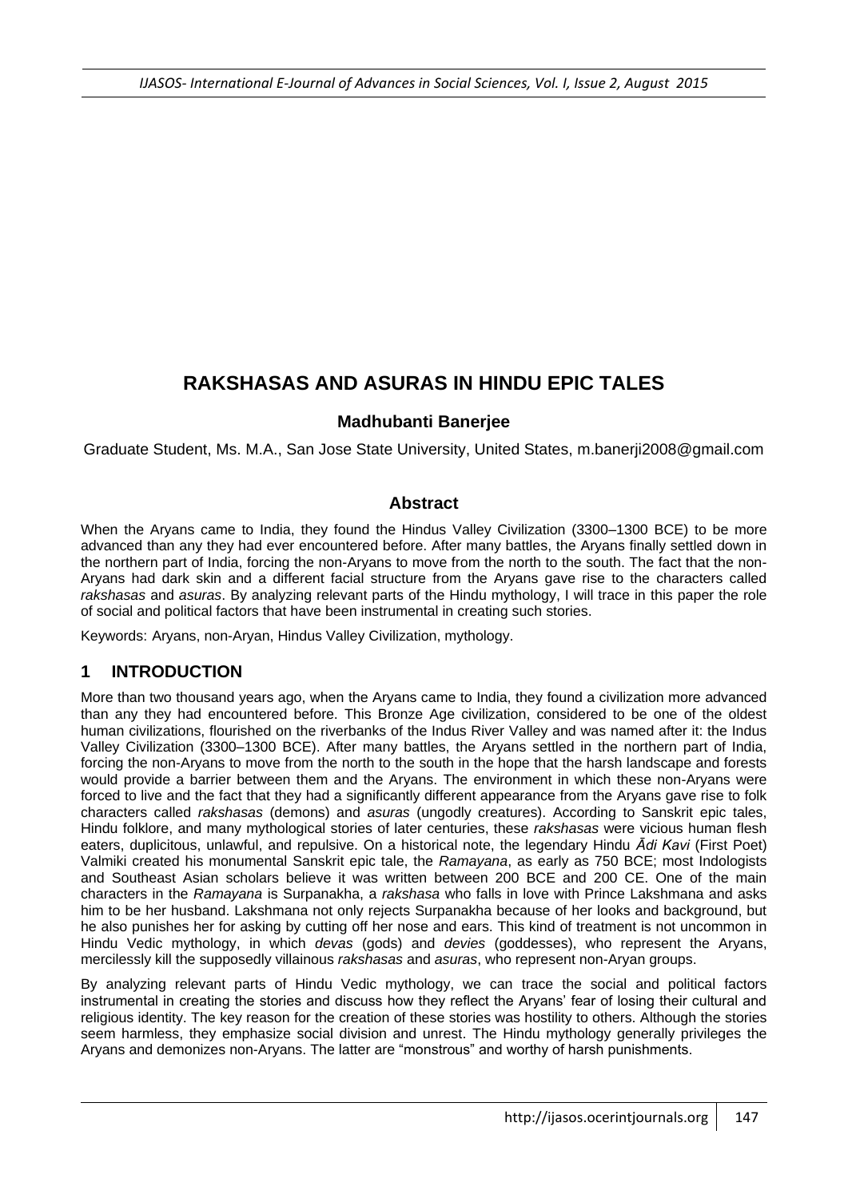# **RAKSHASAS AND ASURAS IN HINDU EPIC TALES**

#### **Madhubanti Banerjee**

Graduate Student, Ms. M.A., San Jose State University, United States, m.banerji2008@gmail.com

#### **Abstract**

When the Aryans came to India, they found the Hindus Valley Civilization (3300–1300 BCE) to be more advanced than any they had ever encountered before. After many battles, the Aryans finally settled down in the northern part of India, forcing the non-Aryans to move from the north to the south. The fact that the non-Aryans had dark skin and a different facial structure from the Aryans gave rise to the characters called *rakshasas* and *asuras*. By analyzing relevant parts of the Hindu mythology, I will trace in this paper the role of social and political factors that have been instrumental in creating such stories.

Keywords: Aryans, non-Aryan, Hindus Valley Civilization, mythology.

# **1 INTRODUCTION**

More than two thousand years ago, when the Aryans came to India, they found a civilization more advanced than any they had encountered before. This Bronze Age civilization, considered to be one of the oldest human civilizations, flourished on the riverbanks of the Indus River Valley and was named after it: the Indus Valley Civilization (3300–1300 BCE). After many battles, the Aryans settled in the northern part of India, forcing the non-Aryans to move from the north to the south in the hope that the harsh landscape and forests would provide a barrier between them and the Aryans. The environment in which these non-Aryans were forced to live and the fact that they had a significantly different appearance from the Aryans gave rise to folk characters called *rakshasas* (demons) and *asuras* (ungodly creatures). According to Sanskrit epic tales, Hindu folklore, and many mythological stories of later centuries, these *rakshasas* were vicious human flesh eaters, duplicitous, unlawful, and repulsive. On a historical note, the legendary Hindu *Ādi Kavi* (First Poet) Valmiki created his monumental Sanskrit epic tale, the *Ramayana*, as early as 750 BCE; most Indologists and Southeast Asian scholars believe it was written between 200 BCE and 200 CE. One of the main characters in the *Ramayana* is Surpanakha, a *rakshasa* who falls in love with Prince Lakshmana and asks him to be her husband. Lakshmana not only rejects Surpanakha because of her looks and background, but he also punishes her for asking by cutting off her nose and ears. This kind of treatment is not uncommon in Hindu Vedic mythology, in which *devas* (gods) and *devies* (goddesses), who represent the Aryans, mercilessly kill the supposedly villainous *rakshasas* and *asuras*, who represent non-Aryan groups.

By analyzing relevant parts of Hindu Vedic mythology, we can trace the social and political factors instrumental in creating the stories and discuss how they reflect the Aryans' fear of losing their cultural and religious identity. The key reason for the creation of these stories was hostility to others. Although the stories seem harmless, they emphasize social division and unrest. The Hindu mythology generally privileges the Aryans and demonizes non-Aryans. The latter are "monstrous" and worthy of harsh punishments.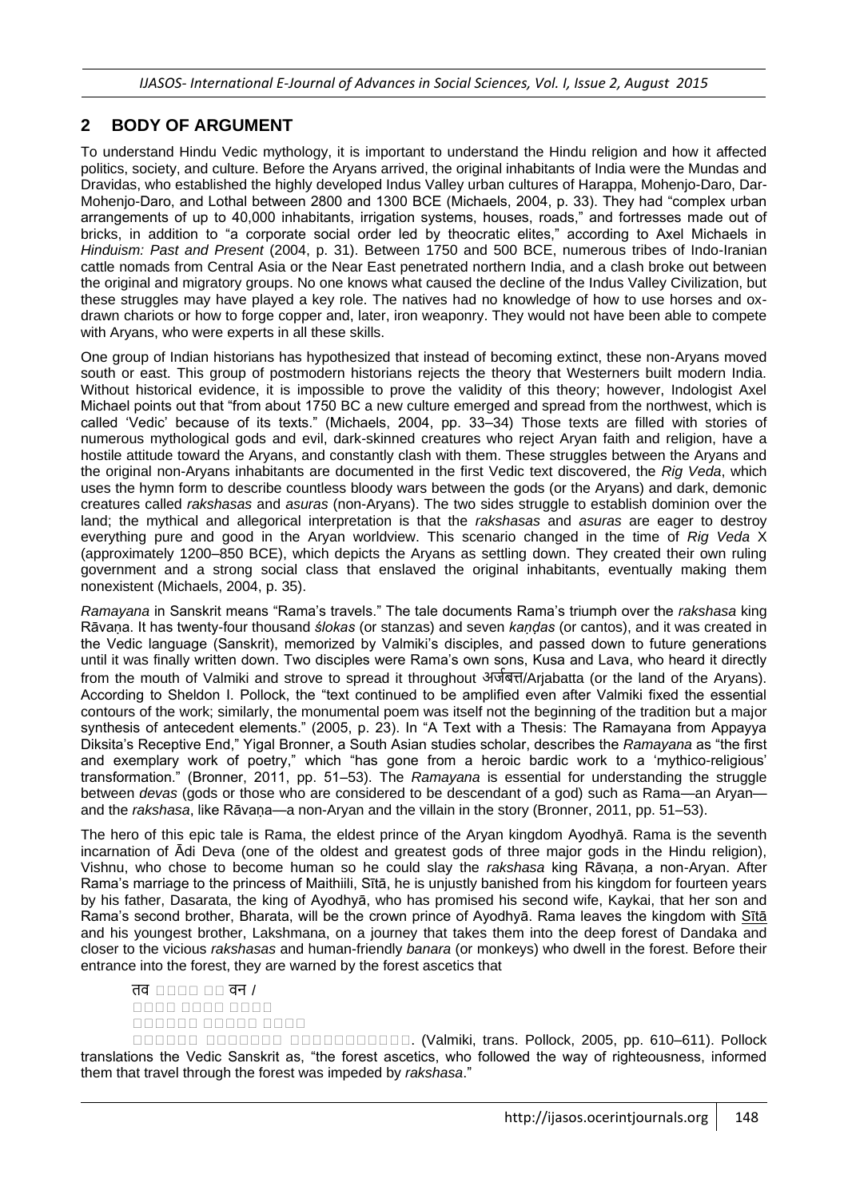#### **2 BODY OF ARGUMENT**

To understand Hindu Vedic mythology, it is important to understand the Hindu religion and how it affected politics, society, and culture. Before the Aryans arrived, the original inhabitants of India were the Mundas and Dravidas, who established the highly developed Indus Valley urban cultures of Harappa, Mohenjo-Daro, Dar-Mohenjo-Daro, and Lothal between 2800 and 1300 BCE (Michaels, 2004, p. 33). They had "complex urban arrangements of up to 40,000 inhabitants, irrigation systems, houses, roads," and fortresses made out of bricks, in addition to "a corporate social order led by theocratic elites," according to Axel Michaels in *Hinduism: Past and Present* (2004, p. 31). Between 1750 and 500 BCE, numerous tribes of Indo-Iranian cattle nomads from Central Asia or the Near East penetrated northern India, and a clash broke out between the original and migratory groups. No one knows what caused the decline of the Indus Valley Civilization, but these struggles may have played a key role. The natives had no knowledge of how to use horses and oxdrawn chariots or how to forge copper and, later, iron weaponry. They would not have been able to compete with Aryans, who were experts in all these skills.

One group of Indian historians has hypothesized that instead of becoming extinct, these non-Aryans moved south or east. This group of postmodern historians rejects the theory that Westerners built modern India. Without historical evidence, it is impossible to prove the validity of this theory; however, Indologist Axel Michael points out that "from about 1750 BC a new culture emerged and spread from the northwest, which is called 'Vedic' because of its texts." (Michaels, 2004, pp. 33–34) Those texts are filled with stories of numerous mythological gods and evil, dark-skinned creatures who reject Aryan faith and religion, have a hostile attitude toward the Aryans, and constantly clash with them. These struggles between the Aryans and the original non-Aryans inhabitants are documented in the first Vedic text discovered, the *Rig Veda*, which uses the hymn form to describe countless bloody wars between the gods (or the Aryans) and dark, demonic creatures called *rakshasas* and *asuras* (non-Aryans). The two sides struggle to establish dominion over the land; the mythical and allegorical interpretation is that the *rakshasas* and *asuras* are eager to destroy everything pure and good in the Aryan worldview. This scenario changed in the time of *Rig Veda* X (approximately 1200–850 BCE), which depicts the Aryans as settling down. They created their own ruling government and a strong social class that enslaved the original inhabitants, eventually making them nonexistent (Michaels, 2004, p. 35).

*Ramayana* in Sanskrit means "Rama's travels." The tale documents Rama's triumph over the *rakshasa* king Rāvaṇa. It has twenty-four thousand *[ślokas](http://en.wikipedia.org/wiki/Shloka)* (or stanzas) and seven *kaṇḍas* (or cantos), and it was created in the Vedic language (Sanskrit), memorized by Valmiki's disciples, and passed down to future generations until it was finally written down. Two disciples were Rama's own sons, Kusa and Lava, who heard it directly from the mouth of Valmiki and strove to spread it throughout अर्जबत्त/Arjabatta (or the land of the Aryans). According to Sheldon I. Pollock, the "text continued to be amplified even after Valmiki fixed the essential contours of the work; similarly, the monumental poem was itself not the beginning of the tradition but a major synthesis of antecedent elements." (2005, p. 23). In "A Text with a Thesis: The Ramayana from Appayya Diksita's Receptive End," Yigal Bronner, a South Asian studies scholar, describes the *Ramayana* as "the first and exemplary work of poetry," which "has gone from a heroic bardic work to a 'mythico-religious' transformation." (Bronner, 2011, pp. 51–53). The *Ramayana* is essential for understanding the struggle between *devas* (gods or those who are considered to be descendant of a god) such as Rama—an Aryan and the *rakshasa*, like Rāvaṇa—a non-Aryan and the villain in the story (Bronner, 2011, pp. 51–53).

The hero of this epic tale is Rama, the eldest prince of the Aryan kingdom [Ayodhyā.](http://en.wikipedia.org/wiki/Ayodhya) Rama is the seventh incarnation of Ādi Deva (one of the oldest and greatest gods of three major gods in the Hindu religion), Vishnu, who chose to become human so he could slay the *rakshasa* king Rāvaṇa, a non-Aryan. After Rama's marriage to the princess of Maithiili, [Sītā,](http://en.wikipedia.org/wiki/Sita) he is unjustly banished from his kingdom for fourteen years by his father, Dasarata, the king of [Ayodhyā,](http://en.wikipedia.org/wiki/Ayodhya) who has promised his second wife, Kaykai, that her son and Rama's second brother, Bharata, will be the crown prince of Ayodhyā. Rama leaves the kingdom with [Sītā](http://en.wikipedia.org/wiki/Sita) and his youngest brother, Lakshmana, on a journey that takes them into the deep forest of Dandaka and closer to the vicious *rakshasas* and human-friendly *banara* (or monkeys) who dwell in the forest. Before their entrance into the forest, they are warned by the forest ascetics that

तव उउउउ उउ वन / उउउउ उउउउ उउउउ उउउउउउ उउउउउ उउउउ

उउउउउउ उउउउउउउ उउउउउउउउउउउ. (Valmiki, trans. Pollock, 2005, pp. 610–611). Pollock translations the Vedic Sanskrit as, "the forest ascetics, who followed the way of righteousness, informed them that travel through the forest was impeded by *rakshasa*."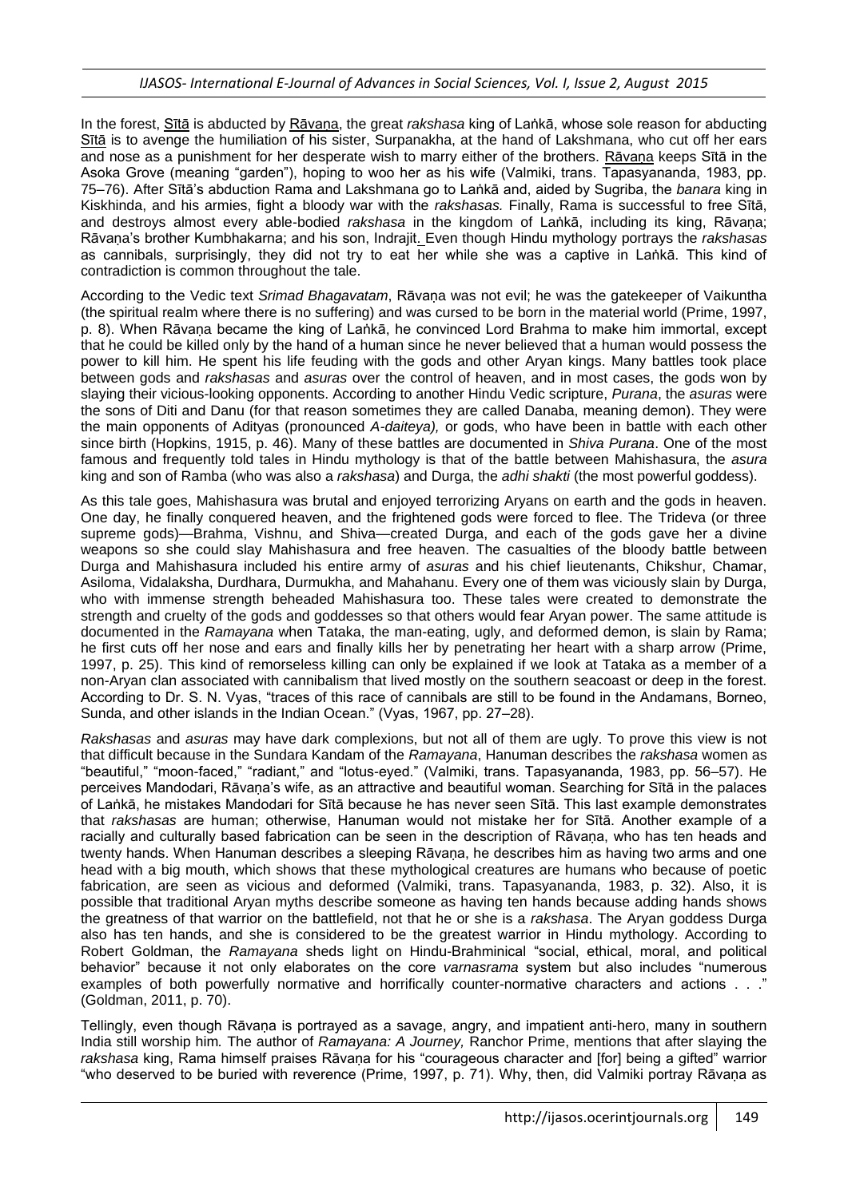In the forest, [Sītā](http://en.wikipedia.org/wiki/Sita) is abducted by [Rāvaṇa,](http://en.wikipedia.org/wiki/Ravana) the great *rakshasa* king of Laṅkā, whose sole reason for abducting [Sītā](http://en.wikipedia.org/wiki/Sita) is to avenge the humiliation of his sister, Surpanakha, at the hand of Lakshmana, who cut off her ears and nose as a punishment for her desperate wish to marry either of the brothers. [Rāvaṇa](http://en.wikipedia.org/wiki/Ravana) keeps [Sītā](http://en.wikipedia.org/wiki/Sita) in the Asoka Grove (meaning "garden"), hoping to woo her as his wife (Valmiki, trans. Tapasyananda, 1983, pp. 75–76). After [Sītā'](http://en.wikipedia.org/wiki/Sita)s abduction Rama and Lakshmana go to Laṅkā and, aided by Sugriba, the *banara* king in Kiskhinda, and his armies, fight a bloody war with the *rakshasas.* Finally, Rama is successful to free Sītā, and destroys almost every able-bodied *rakshasa* in the kingdom of [Laṅkā,](http://en.wikipedia.org/wiki/Lanka) including its king, [Rāvaṇa;](http://en.wikipedia.org/wiki/Ravana) [Rāvaṇa'](http://en.wikipedia.org/wiki/Ravana)s brother Kumbhakarna; and his son, Indrajit. Even though Hindu mythology portrays the *rakshasas* as cannibals, surprisingly, they did not try to eat her while she was a captive in Laṅkā. This kind of contradiction is common throughout the tale.

According to the Vedic text *Srimad Bhagavatam*, [Rāvaṇa](http://en.wikipedia.org/wiki/Ravana) was not evil; he was the gatekeeper of Vaikuntha (the spiritual realm where there is no suffering) and was cursed to be born in the material world (Prime, 1997, p. 8). When [Rāvaṇa](http://en.wikipedia.org/wiki/Ravana) became the king of Laṅkā, he convinced Lord Brahma to make him immortal, except that he could be killed only by the hand of a human since he never believed that a human would possess the power to kill him. He spent his life feuding with the gods and other Aryan kings. Many battles took place between gods and *rakshasas* and *asuras* over the control of heaven, and in most cases, the gods won by slaying their vicious-looking opponents. According to another Hindu Vedic scripture, *Purana*, the *asuras* were the sons of Diti and Danu (for that reason sometimes they are called Danaba, meaning demon). They were the main opponents of Adityas (pronounced *A-daiteya),* or gods, who have been in battle with each other since birth (Hopkins, 1915, p. 46). Many of these battles are documented in *Shiva Purana*. One of the most famous and frequently told tales in Hindu mythology is that of the battle between Mahishasura, the *asura*  king and son of Ramba (who was also a *rakshasa*) and Durga, the *adhi shakti* (the most powerful goddess).

As this tale goes, Mahishasura was brutal and enjoyed terrorizing Aryans on earth and the gods in heaven. One day, he finally conquered heaven, and the frightened gods were forced to flee. The Trideva (or three supreme gods)—Brahma, Vishnu, and Shiva—created Durga, and each of the gods gave her a divine weapons so she could slay Mahishasura and free heaven. The casualties of the bloody battle between Durga and Mahishasura included his entire army of *asuras* and his chief lieutenants, Chikshur, Chamar, Asiloma, Vidalaksha, Durdhara, Durmukha, and Mahahanu. Every one of them was viciously slain by Durga, who with immense strength beheaded Mahishasura too. These tales were created to demonstrate the strength and cruelty of the gods and goddesses so that others would fear Aryan power. The same attitude is documented in the *Ramayana* when Tataka, the man-eating, ugly, and deformed demon, is slain by Rama; he first cuts off her nose and ears and finally kills her by penetrating her heart with a sharp arrow (Prime, 1997, p. 25). This kind of remorseless killing can only be explained if we look at Tataka as a member of a non-Aryan clan associated with cannibalism that lived mostly on the southern seacoast or deep in the forest. According to Dr. S. N. Vyas, "traces of this race of cannibals are still to be found in the Andamans, Borneo, Sunda, and other islands in the Indian Ocean." (Vyas, 1967, pp. 27–28).

*Rakshasas* and *asuras* may have dark complexions, but not all of them are ugly. To prove this view is not that difficult because in the Sundara Kandam of the *Ramayana*, Hanuman describes the *rakshasa* women as "beautiful," "moon-faced," "radiant," and "lotus-eyed." (Valmiki, trans. Tapasyananda, 1983, pp. 56–57). He perceives Mandodari, Rāvaṇa's wife, as an attractive and beautiful woman. Searching for Sītā in the palaces of Laṅkā, he mistakes Mandodari for Sītā because he has never seen Sītā. This last example demonstrates that *rakshasas* are human; otherwise, Hanuman would not mistake her for Sītā. Another example of a racially and culturally based fabrication can be seen in the description of Rāvana, who has ten heads and twenty hands. When Hanuman describes a sleeping Rāvana, he describes him as having two arms and one head with a big mouth, which shows that these mythological creatures are humans who because of poetic fabrication, are seen as vicious and deformed (Valmiki, trans. Tapasyananda, 1983, p. 32). Also, it is possible that traditional Aryan myths describe someone as having ten hands because adding hands shows the greatness of that warrior on the battlefield, not that he or she is a *rakshasa*. The Aryan goddess Durga also has ten hands, and she is considered to be the greatest warrior in Hindu mythology. According to Robert Goldman, the *Ramayana* sheds light on Hindu-Brahminical "social, ethical, moral, and political behavior" because it not only elaborates on the core *varnasrama* system but also includes "numerous examples of both powerfully normative and horrifically counter-normative characters and actions . . ." (Goldman, 2011, p. 70).

Tellingly, even though Rāvana is portrayed as a savage, angry, and impatient anti-hero, many in southern India still worship him*.* The author of *Ramayana: A Journey,* Ranchor Prime, mentions that after slaying the rakshasa king, Rama himself praises Rāvana for his "courageous character and [for] being a gifted" warrior "who deserved to be buried with reverence (Prime, 1997, p. 71). Why, then, did Valmiki portray Rāvaṇa as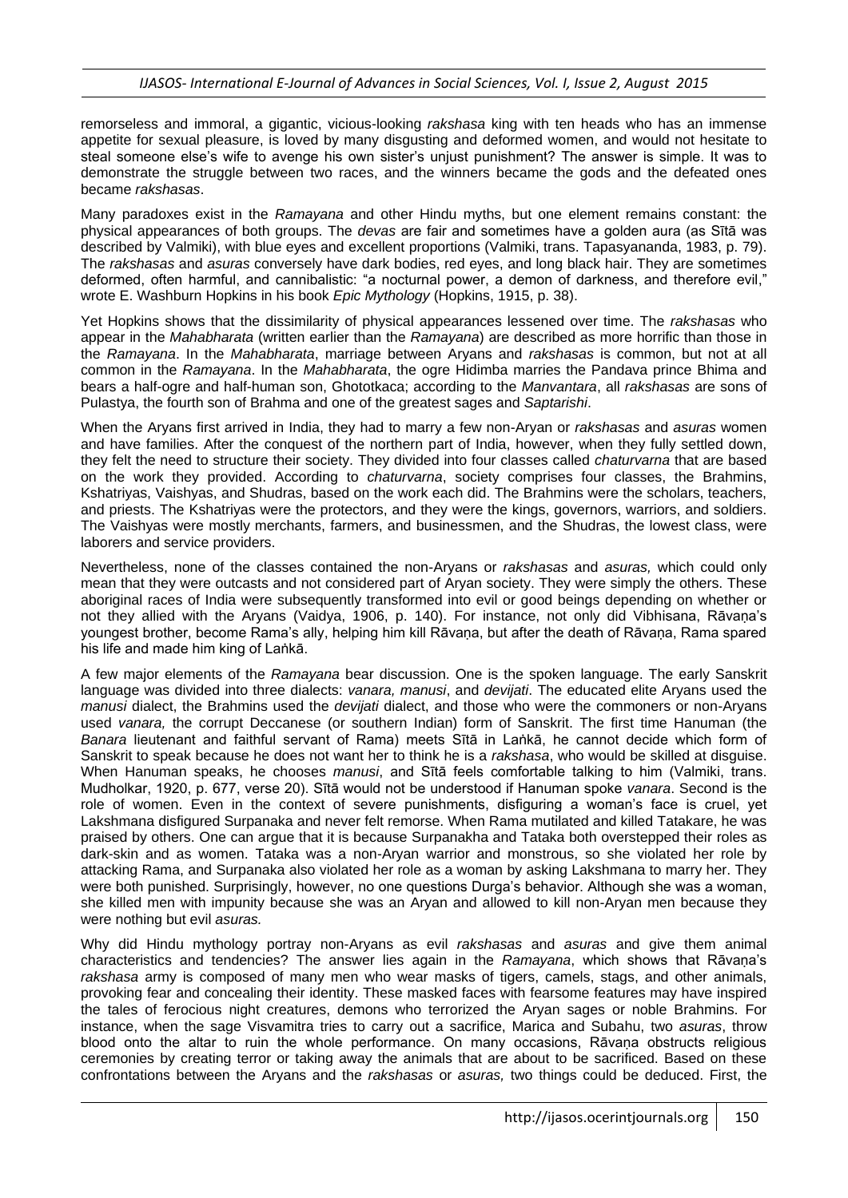remorseless and immoral, a gigantic, vicious-looking *rakshasa* king with ten heads who has an immense appetite for sexual pleasure, is loved by many disgusting and deformed women, and would not hesitate to steal someone else's wife to avenge his own sister's unjust punishment? The answer is simple. It was to demonstrate the struggle between two races, and the winners became the gods and the defeated ones became *rakshasas*.

Many paradoxes exist in the *Ramayana* and other Hindu myths, but one element remains constant: the physical appearances of both groups. The *devas* are fair and sometimes have a golden aura (as Sītā was described by Valmiki), with blue eyes and excellent proportions (Valmiki, trans. Tapasyananda, 1983, p. 79). The *rakshasas* and *asuras* conversely have dark bodies, red eyes, and long black hair. They are sometimes deformed, often harmful, and cannibalistic: "a nocturnal power, a demon of darkness, and therefore evil," wrote E. Washburn Hopkins in his book *Epic Mythology* (Hopkins, 1915, p. 38).

Yet Hopkins shows that the dissimilarity of physical appearances lessened over time. The *rakshasas* who appear in the *Mahabharata* (written earlier than the *Ramayana*) are described as more horrific than those in the *Ramayana*. In the *Mahabharata*, marriage between Aryans and *rakshasas* is common, but not at all common in the *Ramayana*. In the *Mahabharata*, the ogre Hidimba marries the Pandava prince Bhima and bears a half-ogre and half-human son, Ghototkaca; according to the *Manvantara*, all *rakshasas* are sons of Pulastya, the fourth son of Brahma and one of the greatest sages and *Saptarishi*.

When the Aryans first arrived in India, they had to marry a few non-Aryan or *rakshasas* and *asuras* women and have families. After the conquest of the northern part of India, however, when they fully settled down, they felt the need to structure their society. They divided into four classes called *chaturvarna* that are based on the work they provided. According to *chaturvarna*, society comprises four classes, the Brahmins, Kshatriyas, Vaishyas, and Shudras, based on the work each did. The Brahmins were the scholars, teachers, and priests. The [Kshatriyas](http://en.wikipedia.org/wiki/Kshatriya) were the protectors, and they were the kings, governors, warriors, and soldiers. The [Vaishyas](http://en.wikipedia.org/wiki/Vaishya) were mostly merchants, farmers, and businessmen, and the [Shudras,](http://en.wikipedia.org/wiki/Shudra) the lowest class, were laborers and service providers.

Nevertheless, none of the classes contained the non-Aryans or *rakshasas* and *asuras,* which could only mean that they were outcasts and not considered part of Aryan society. They were simply the others. These aboriginal races of India were subsequently transformed into evil or good beings depending on whether or not they allied with the Aryans (Vaidya, 1906, p. 140). For instance, not only did Vibhisana, Rāvaṇa's youngest brother, become Rama's ally, helping him kill Rāvaṇa, but after the death of Rāvaṇa, Rama spared his life and made him king of Laṅkā.

A few major elements of the *Ramayana* bear discussion. One is the spoken language. The early Sanskrit language was divided into three dialects: *vanara, manusi*, and *devijati*. The educated elite Aryans used the *manusi* dialect, the Brahmins used the *devijati* dialect, and those who were the commoners or non-Aryans used *vanara,* the corrupt Deccanese (or southern Indian) form of Sanskrit. The first time Hanuman (the *Banara* lieutenant and faithful servant of Rama) meets Sītā in Laṅkā, he cannot decide which form of Sanskrit to speak because he does not want her to think he is a *rakshasa*, who would be skilled at disguise. When Hanuman speaks, he chooses *manusi*, and Sītā feels comfortable talking to him (Valmiki, trans. Mudholkar, 1920, p. 677, verse 20). Sītā would not be understood if Hanuman spoke *vanara*. Second is the role of women. Even in the context of severe punishments, disfiguring a woman's face is cruel, yet Lakshmana disfigured Surpanaka and never felt remorse. When Rama mutilated and killed Tatakare, he was praised by others. One can argue that it is because Surpanakha and Tataka both overstepped their roles as dark-skin and as women. Tataka was a non-Aryan warrior and monstrous, so she violated her role by attacking Rama, and Surpanaka also violated her role as a woman by asking Lakshmana to marry her. They were both punished. Surprisingly, however, no one questions Durga's behavior. Although she was a woman, she killed men with impunity because she was an Aryan and allowed to kill non-Aryan men because they were nothing but evil *asuras.*

Why did Hindu mythology portray non-Aryans as evil *rakshasas* and *asuras* and give them animal characteristics and tendencies? The answer lies again in the *Ramayana*, which shows that Rāvaṇa's *rakshasa* army is composed of many men who wear masks of tigers, camels, stags, and other animals, provoking fear and concealing their identity. These masked faces with fearsome features may have inspired the tales of ferocious night creatures, demons who terrorized the Aryan sages or noble Brahmins. For instance, when the sage Visvamitra tries to carry out a sacrifice, Marica and Subahu, two *asuras*, throw blood onto the altar to ruin the whole performance. On many occasions, Rāvana obstructs religious ceremonies by creating terror or taking away the animals that are about to be sacrificed. Based on these confrontations between the Aryans and the *rakshasas* or *asuras,* two things could be deduced. First, the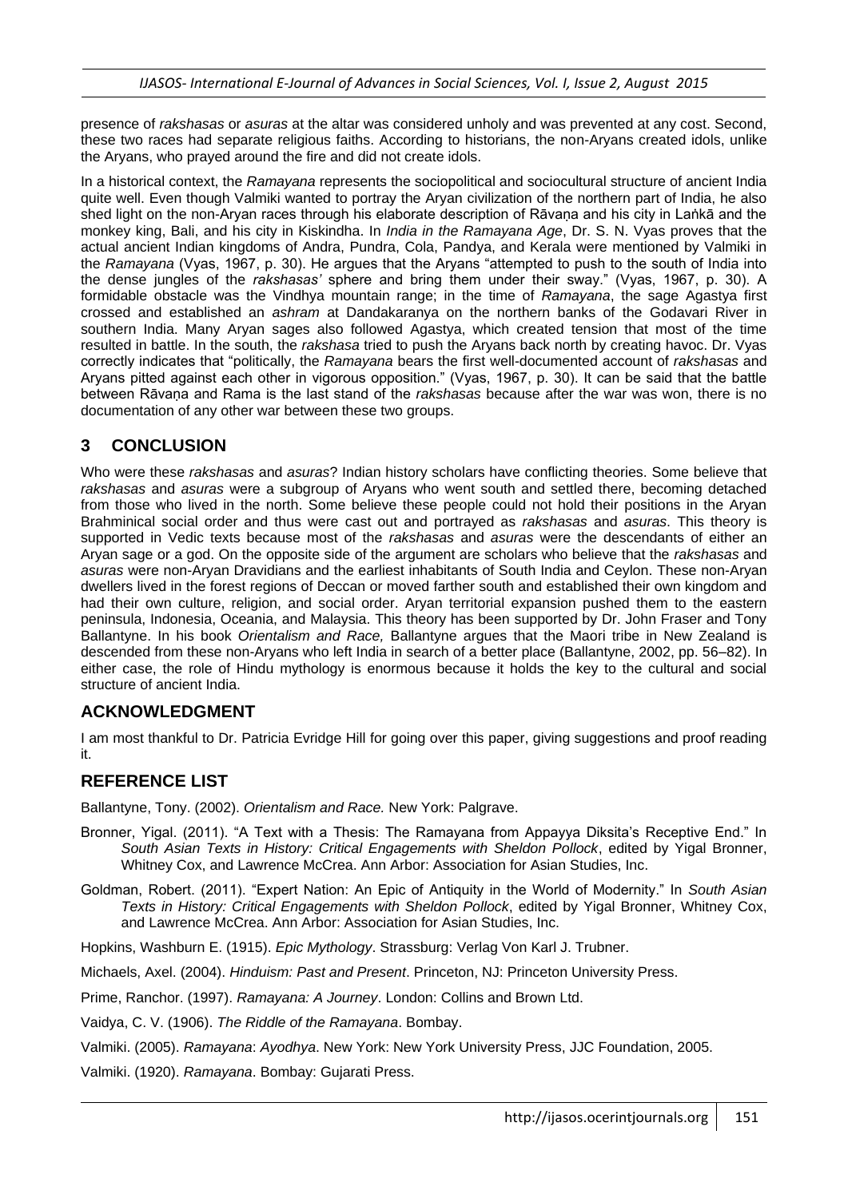presence of *rakshasas* or *asuras* at the altar was considered unholy and was prevented at any cost. Second, these two races had separate religious faiths. According to historians, the non-Aryans created idols, unlike the Aryans, who prayed around the fire and did not create idols.

In a historical context, the *Ramayana* represents the sociopolitical and sociocultural structure of ancient India quite well. Even though Valmiki wanted to portray the Aryan civilization of the northern part of India, he also shed light on the non-Aryan races through his elaborate description of Rāvaṇa and his city in Laṅkā and the monkey king, Bali, and his city in Kiskindha. In *India in the Ramayana Age*, Dr. S. N. Vyas proves that the actual ancient Indian kingdoms of Andra, Pundra, Cola, Pandya, and Kerala were mentioned by Valmiki in the *Ramayana* (Vyas, 1967, p. 30). He argues that the Aryans "attempted to push to the south of India into the dense jungles of the *rakshasas'* sphere and bring them under their sway." (Vyas, 1967, p. 30). A formidable obstacle was the Vindhya mountain range; in the time of *Ramayana*, the sage Agastya first crossed and established an *ashram* at Dandakaranya on the northern banks of the Godavari River in southern India. Many Aryan sages also followed Agastya, which created tension that most of the time resulted in battle. In the south, the *rakshasa* tried to push the Aryans back north by creating havoc. Dr. Vyas correctly indicates that "politically, the *Ramayana* bears the first well-documented account of *rakshasas* and Aryans pitted against each other in vigorous opposition." (Vyas, 1967, p. 30). It can be said that the battle between Rāvaṇa and Rama is the last stand of the *rakshasas* because after the war was won, there is no documentation of any other war between these two groups.

# **3 CONCLUSION**

Who were these *rakshasas* and *asuras*? Indian history scholars have conflicting theories. Some believe that *rakshasas* and *asuras* were a subgroup of Aryans who went south and settled there, becoming detached from those who lived in the north. Some believe these people could not hold their positions in the Aryan Brahminical social order and thus were cast out and portrayed as *rakshasas* and *asuras*. This theory is supported in Vedic texts because most of the *rakshasas* and *asuras* were the descendants of either an Aryan sage or a god. On the opposite side of the argument are scholars who believe that the *rakshasas* and *asuras* were non-Aryan Dravidians and the earliest inhabitants of South India and Ceylon. These non-Aryan dwellers lived in the forest regions of Deccan or moved farther south and established their own kingdom and had their own culture, religion, and social order. Aryan territorial expansion pushed them to the eastern peninsula, Indonesia, Oceania, and Malaysia. This theory has been supported by Dr. John Fraser and Tony Ballantyne. In his book *Orientalism and Race,* Ballantyne argues that the Maori tribe in New Zealand is descended from these non-Aryans who left India in search of a better place (Ballantyne, 2002, pp. 56–82). In either case, the role of Hindu mythology is enormous because it holds the key to the cultural and social structure of ancient India.

# **ACKNOWLEDGMENT**

I am most thankful to Dr. Patricia Evridge Hill for going over this paper, giving suggestions and proof reading it.

# **REFERENCE LIST**

Ballantyne, Tony. (2002). *Orientalism and Race.* New York: Palgrave.

- Bronner, Yigal. (2011). "A Text with a Thesis: The Ramayana from Appayya Diksita's Receptive End." In *South Asian Texts in History: Critical Engagements with Sheldon Pollock*, edited by Yigal Bronner, Whitney Cox, and Lawrence McCrea. Ann Arbor: Association for Asian Studies, Inc.
- Goldman, Robert. (2011). "Expert Nation: An Epic of Antiquity in the World of Modernity." In *South Asian Texts in History: Critical Engagements with Sheldon Pollock*, edited by Yigal Bronner, Whitney Cox, and Lawrence McCrea. Ann Arbor: Association for Asian Studies, Inc.
- Hopkins, Washburn E. (1915). *Epic Mythology*. Strassburg: Verlag Von Karl J. Trubner.
- Michaels, Axel. (2004). *Hinduism: Past and Present*. Princeton, NJ: Princeton University Press.
- Prime, Ranchor. (1997). *Ramayana: A Journey*. London: Collins and Brown Ltd.
- Vaidya, C. V. (1906). *The Riddle of the Ramayana*. Bombay.
- Valmiki. (2005). *Ramayana*: *Ayodhya*. New York: New York University Press, JJC Foundation, 2005.
- Valmiki. (1920). *Ramayana*. Bombay: Gujarati Press.